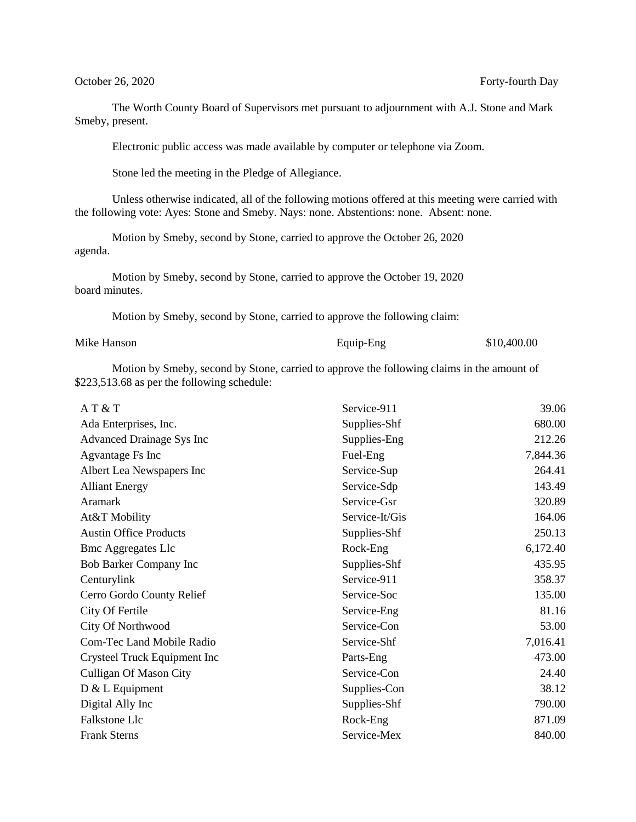October 26, 2020 Forty-fourth Day

The Worth County Board of Supervisors met pursuant to adjournment with A.J. Stone and Mark Smeby, present.

Electronic public access was made available by computer or telephone via Zoom.

Stone led the meeting in the Pledge of Allegiance.

Unless otherwise indicated, all of the following motions offered at this meeting were carried with the following vote: Ayes: Stone and Smeby. Nays: none. Abstentions: none. Absent: none.

Motion by Smeby, second by Stone, carried to approve the October 26, 2020 agenda.

Motion by Smeby, second by Stone, carried to approve the October 19, 2020 board minutes.

Motion by Smeby, second by Stone, carried to approve the following claim:

| Mike Hanson |
|-------------|
|             |

Equip-Eng \$10,400.00

Motion by Smeby, second by Stone, carried to approve the following claims in the amount of \$223,513.68 as per the following schedule:

| AT & T                           | Service-911    | 39.06    |
|----------------------------------|----------------|----------|
| Ada Enterprises, Inc.            | Supplies-Shf   | 680.00   |
| <b>Advanced Drainage Sys Inc</b> | Supplies-Eng   | 212.26   |
| Agvantage Fs Inc                 | Fuel-Eng       | 7,844.36 |
| Albert Lea Newspapers Inc        | Service-Sup    | 264.41   |
| <b>Alliant Energy</b>            | Service-Sdp    | 143.49   |
| <b>Aramark</b>                   | Service-Gsr    | 320.89   |
| At&T Mobility                    | Service-It/Gis | 164.06   |
| <b>Austin Office Products</b>    | Supplies-Shf   | 250.13   |
| <b>Bmc Aggregates Llc</b>        | Rock-Eng       | 6,172.40 |
| Bob Barker Company Inc           | Supplies-Shf   | 435.95   |
| Centurylink                      | Service-911    | 358.37   |
| Cerro Gordo County Relief        | Service-Soc    | 135.00   |
| City Of Fertile                  | Service-Eng    | 81.16    |
| City Of Northwood                | Service-Con    | 53.00    |
| Com-Tec Land Mobile Radio        | Service-Shf    | 7,016.41 |
| Crysteel Truck Equipment Inc     | Parts-Eng      | 473.00   |
| <b>Culligan Of Mason City</b>    | Service-Con    | 24.40    |
| $D & L$ Equipment                | Supplies-Con   | 38.12    |
| Digital Ally Inc                 | Supplies-Shf   | 790.00   |
| Falkstone Llc                    | Rock-Eng       | 871.09   |
| <b>Frank Sterns</b>              | Service-Mex    | 840.00   |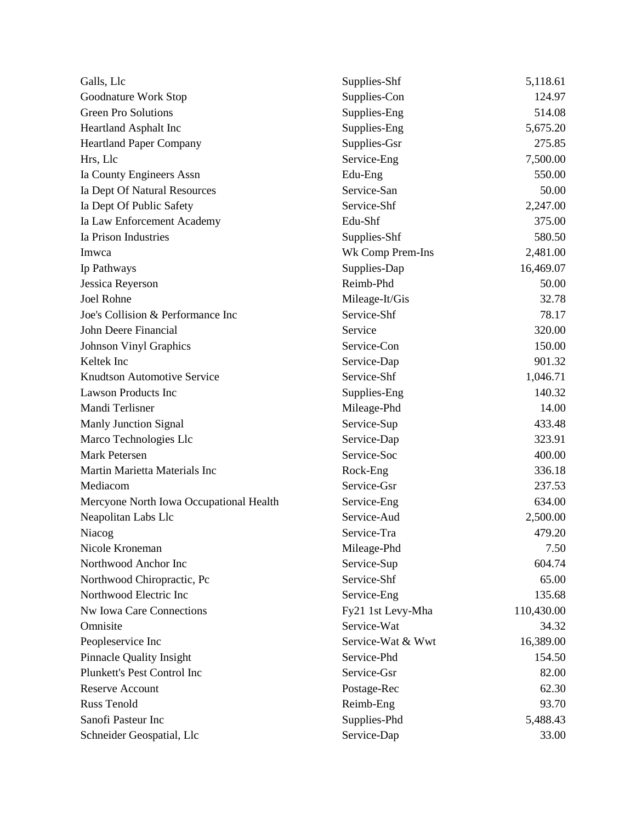| Galls, Llc                              | Supplies-Shf      | 5,118.61   |
|-----------------------------------------|-------------------|------------|
| Goodnature Work Stop                    | Supplies-Con      | 124.97     |
| <b>Green Pro Solutions</b>              | Supplies-Eng      | 514.08     |
| Heartland Asphalt Inc                   | Supplies-Eng      | 5,675.20   |
| <b>Heartland Paper Company</b>          | Supplies-Gsr      | 275.85     |
| Hrs, Llc                                | Service-Eng       | 7,500.00   |
| Ia County Engineers Assn                | Edu-Eng           | 550.00     |
| Ia Dept Of Natural Resources            | Service-San       | 50.00      |
| Ia Dept Of Public Safety                | Service-Shf       | 2,247.00   |
| Ia Law Enforcement Academy              | Edu-Shf           | 375.00     |
| Ia Prison Industries                    | Supplies-Shf      | 580.50     |
| Imwca                                   | Wk Comp Prem-Ins  | 2,481.00   |
| Ip Pathways                             | Supplies-Dap      | 16,469.07  |
| Jessica Reyerson                        | Reimb-Phd         | 50.00      |
| <b>Joel Rohne</b>                       | Mileage-It/Gis    | 32.78      |
| Joe's Collision & Performance Inc       | Service-Shf       | 78.17      |
| John Deere Financial                    | Service           | 320.00     |
| <b>Johnson Vinyl Graphics</b>           | Service-Con       | 150.00     |
| Keltek Inc                              | Service-Dap       | 901.32     |
| <b>Knudtson Automotive Service</b>      | Service-Shf       | 1,046.71   |
| Lawson Products Inc                     | Supplies-Eng      | 140.32     |
| Mandi Terlisner                         | Mileage-Phd       | 14.00      |
| Manly Junction Signal                   | Service-Sup       | 433.48     |
| Marco Technologies Llc                  | Service-Dap       | 323.91     |
| <b>Mark Petersen</b>                    | Service-Soc       | 400.00     |
| Martin Marietta Materials Inc           | Rock-Eng          | 336.18     |
| Mediacom                                | Service-Gsr       | 237.53     |
| Mercyone North Iowa Occupational Health | Service-Eng       | 634.00     |
| Neapolitan Labs Llc                     | Service-Aud       | 2,500.00   |
| Niacog                                  | Service-Tra       | 479.20     |
| Nicole Kroneman                         | Mileage-Phd       | 7.50       |
| Northwood Anchor Inc                    | Service-Sup       | 604.74     |
| Northwood Chiropractic, Pc              | Service-Shf       | 65.00      |
| Northwood Electric Inc                  | Service-Eng       | 135.68     |
| Nw Iowa Care Connections                | Fy21 1st Levy-Mha | 110,430.00 |
| Omnisite                                | Service-Wat       | 34.32      |
| Peopleservice Inc                       | Service-Wat & Wwt | 16,389.00  |
| <b>Pinnacle Quality Insight</b>         | Service-Phd       | 154.50     |
| Plunkett's Pest Control Inc             | Service-Gsr       | 82.00      |
| <b>Reserve Account</b>                  | Postage-Rec       | 62.30      |
| <b>Russ Tenold</b>                      | Reimb-Eng         | 93.70      |
| Sanofi Pasteur Inc                      | Supplies-Phd      | 5,488.43   |
| Schneider Geospatial, Llc               | Service-Dap       | 33.00      |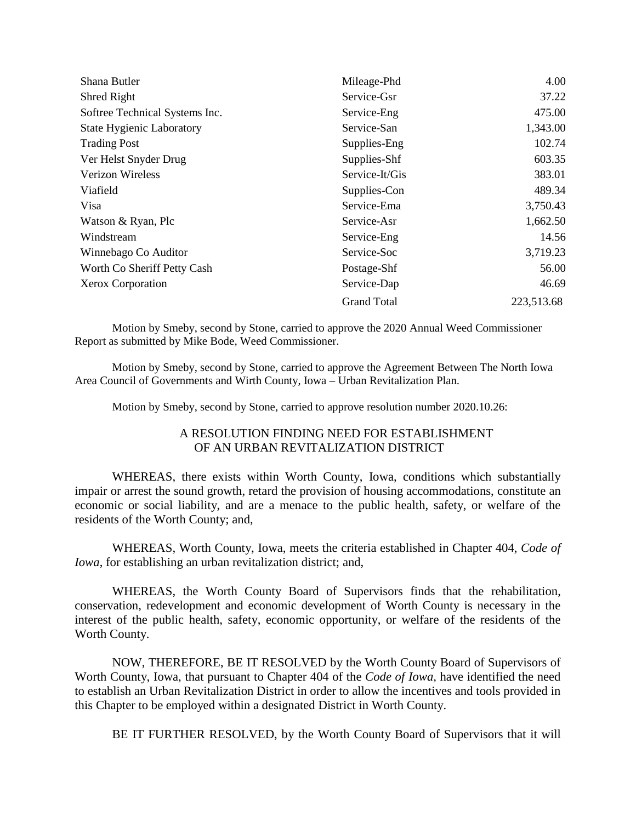| Shana Butler                     | Mileage-Phd        | 4.00       |
|----------------------------------|--------------------|------------|
| Shred Right                      | Service-Gsr        | 37.22      |
| Softree Technical Systems Inc.   | Service-Eng        | 475.00     |
| <b>State Hygienic Laboratory</b> | Service-San        | 1,343.00   |
| <b>Trading Post</b>              | Supplies-Eng       | 102.74     |
| Ver Helst Snyder Drug            | Supplies-Shf       | 603.35     |
| <b>Verizon Wireless</b>          | Service-It/Gis     | 383.01     |
| Viafield                         | Supplies-Con       | 489.34     |
| Visa                             | Service-Ema        | 3,750.43   |
| Watson & Ryan, Plc               | Service-Asr        | 1,662.50   |
| Windstream                       | Service-Eng        | 14.56      |
| Winnebago Co Auditor             | Service-Soc        | 3,719.23   |
| Worth Co Sheriff Petty Cash      | Postage-Shf        | 56.00      |
| Xerox Corporation                | Service-Dap        | 46.69      |
|                                  | <b>Grand Total</b> | 223,513.68 |

Motion by Smeby, second by Stone, carried to approve the 2020 Annual Weed Commissioner Report as submitted by Mike Bode, Weed Commissioner.

Motion by Smeby, second by Stone, carried to approve the Agreement Between The North Iowa Area Council of Governments and Wirth County, Iowa – Urban Revitalization Plan.

Motion by Smeby, second by Stone, carried to approve resolution number 2020.10.26:

## A RESOLUTION FINDING NEED FOR ESTABLISHMENT OF AN URBAN REVITALIZATION DISTRICT

WHEREAS, there exists within Worth County, Iowa, conditions which substantially impair or arrest the sound growth, retard the provision of housing accommodations, constitute an economic or social liability, and are a menace to the public health, safety, or welfare of the residents of the Worth County; and,

WHEREAS, Worth County, Iowa, meets the criteria established in Chapter 404, *Code of Iowa*, for establishing an urban revitalization district; and,

WHEREAS, the Worth County Board of Supervisors finds that the rehabilitation, conservation, redevelopment and economic development of Worth County is necessary in the interest of the public health, safety, economic opportunity, or welfare of the residents of the Worth County.

NOW, THEREFORE, BE IT RESOLVED by the Worth County Board of Supervisors of Worth County, Iowa, that pursuant to Chapter 404 of the *Code of Iowa,* have identified the need to establish an Urban Revitalization District in order to allow the incentives and tools provided in this Chapter to be employed within a designated District in Worth County.

BE IT FURTHER RESOLVED, by the Worth County Board of Supervisors that it will